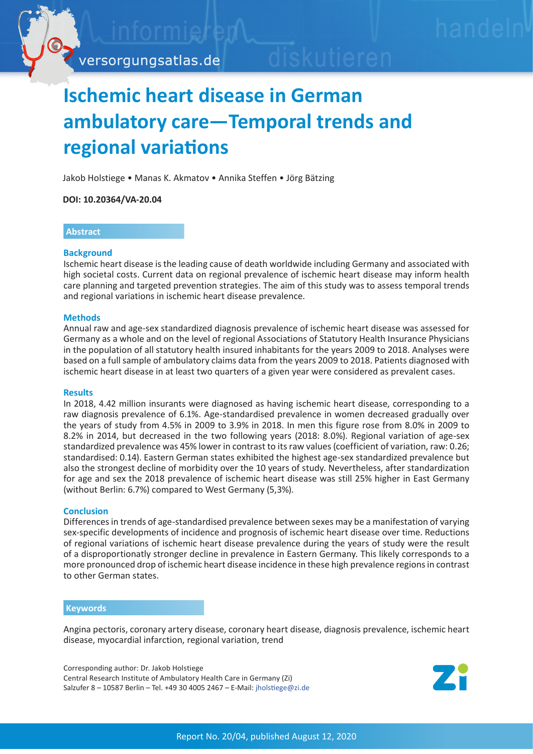

# **Ischemic heart disease in German ambulatory care—Temporal trends and regional variations**

Jakob Holstiege • Manas K. Akmatov • Annika Steffen • Jörg Bätzing

**DOI: 10.20364/VA-20.04**

## **Abstract**

## **Background**

Ischemic heart disease is the leading cause of death worldwide including Germany and associated with high societal costs. Current data on regional prevalence of ischemic heart disease may inform health care planning and targeted prevention strategies. The aim of this study was to assess temporal trends and regional variations in ischemic heart disease prevalence.

## **Methods**

Annual raw and age-sex standardized diagnosis prevalence of ischemic heart disease was assessed for Germany as a whole and on the level of regional Associations of Statutory Health Insurance Physicians in the population of all statutory health insured inhabitants for the years 2009 to 2018. Analyses were based on a full sample of ambulatory claims data from the years 2009 to 2018. Patients diagnosed with ischemic heart disease in at least two quarters of a given year were considered as prevalent cases.

#### **Results**

In 2018, 4.42 million insurants were diagnosed as having ischemic heart disease, corresponding to a raw diagnosis prevalence of 6.1%. Age-standardised prevalence in women decreased gradually over the years of study from 4.5% in 2009 to 3.9% in 2018. In men this figure rose from 8.0% in 2009 to 8.2% in 2014, but decreased in the two following years (2018: 8.0%). Regional variation of age-sex standardized prevalence was 45% lower in contrast to its raw values (coefficient of variation, raw: 0.26; standardised: 0.14). Eastern German states exhibited the highest age-sex standardized prevalence but also the strongest decline of morbidity over the 10 years of study. Nevertheless, after standardization for age and sex the 2018 prevalence of ischemic heart disease was still 25% higher in East Germany (without Berlin: 6.7%) compared to West Germany (5,3%).

## **Conclusion**

Differences in trends of age-standardised prevalence between sexes may be a manifestation of varying sex-specific developments of incidence and prognosis of ischemic heart disease over time. Reductions of regional variations of ischemic heart disease prevalence during the years of study were the result of a disproportionatly stronger decline in prevalence in Eastern Germany. This likely corresponds to a more pronounced drop of ischemic heart disease incidence in these high prevalence regions in contrast to other German states.

#### **Keywords**

Angina pectoris, coronary artery disease, coronary heart disease, diagnosis prevalence, ischemic heart disease, myocardial infarction, regional variation, trend

Corresponding author: Dr. Jakob Holstiege Central Research Institute of Ambulatory Health Care in Germany (Zi) Salzufer 8 – 10587 Berlin – Tel. +49 30 4005 2467 – E-Mail: jholstiege[@zi.de](mailto:jholstiege%40zi.de?subject=VA-Bericht%2020/04%20Isch%C3%A4mische%20Herzerkrankung)